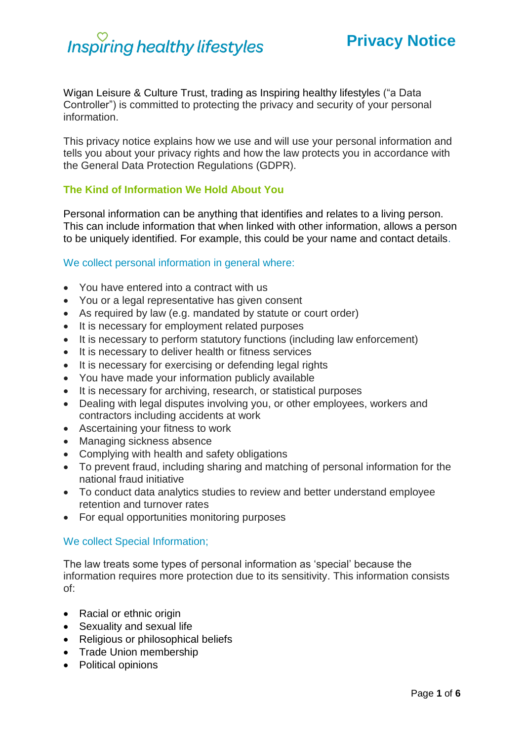# **Inspiring healthy lifestyles**

Wigan Leisure & Culture Trust, trading as Inspiring healthy lifestyles ("a Data Controller") is committed to protecting the privacy and security of your personal information.

This privacy notice explains how we use and will use your personal information and tells you about your privacy rights and how the law protects you in accordance with the General Data Protection Regulations (GDPR).

# **The Kind of Information We Hold About You**

Personal information can be anything that identifies and relates to a living person. This can include information that when linked with other information, allows a person to be uniquely identified. For example, this could be your name and contact details.

#### We collect personal information in general where:

- You have entered into a contract with us
- You or a legal representative has given consent
- As required by law (e.g. mandated by statute or court order)
- It is necessary for employment related purposes
- It is necessary to perform statutory functions (including law enforcement)
- It is necessary to deliver health or fitness services
- It is necessary for exercising or defending legal rights
- You have made your information publicly available
- It is necessary for archiving, research, or statistical purposes
- Dealing with legal disputes involving you, or other employees, workers and contractors including accidents at work
- Ascertaining your fitness to work
- Managing sickness absence
- Complying with health and safety obligations
- To prevent fraud, including sharing and matching of personal information for the national fraud initiative
- To conduct data analytics studies to review and better understand employee retention and turnover rates
- For equal opportunities monitoring purposes

#### We collect Special Information;

The law treats some types of personal information as 'special' because the information requires more protection due to its sensitivity. This information consists of:

- Racial or ethnic origin
- Sexuality and sexual life
- Religious or philosophical beliefs
- Trade Union membership
- Political opinions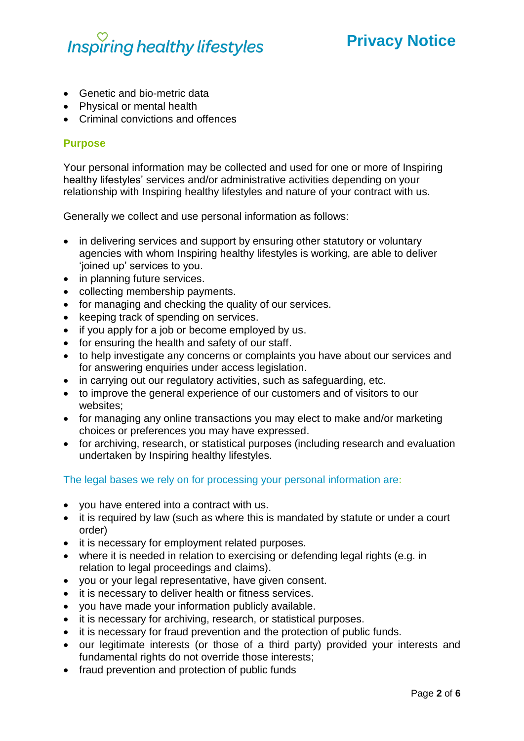# **Inspiring healthy lifestyles**

# **Privacy Notice**

- Genetic and bio-metric data
- Physical or mental health
- Criminal convictions and offences

### **Purpose**

Your personal information may be collected and used for one or more of Inspiring healthy lifestyles' services and/or administrative activities depending on your relationship with Inspiring healthy lifestyles and nature of your contract with us.

Generally we collect and use personal information as follows:

- in delivering services and support by ensuring other statutory or voluntary agencies with whom Inspiring healthy lifestyles is working, are able to deliver 'joined up' services to you.
- in planning future services.
- collecting membership payments.
- for managing and checking the quality of our services.
- keeping track of spending on services.
- if you apply for a job or become employed by us.
- for ensuring the health and safety of our staff.
- to help investigate any concerns or complaints you have about our services and for answering enquiries under access legislation.
- in carrying out our regulatory activities, such as safeguarding, etc.
- to improve the general experience of our customers and of visitors to our websites;
- for managing any online transactions you may elect to make and/or marketing choices or preferences you may have expressed.
- for archiving, research, or statistical purposes (including research and evaluation undertaken by Inspiring healthy lifestyles.

### The legal bases we rely on for processing your personal information are**:**

- you have entered into a contract with us.
- it is required by law (such as where this is mandated by statute or under a court order)
- it is necessary for employment related purposes.
- where it is needed in relation to exercising or defending legal rights (e.g. in relation to legal proceedings and claims).
- you or your legal representative, have given consent.
- it is necessary to deliver health or fitness services.
- you have made your information publicly available.
- it is necessary for archiving, research, or statistical purposes.
- it is necessary for fraud prevention and the protection of public funds.
- our legitimate interests (or those of a third party) provided your interests and fundamental rights do not override those interests;
- fraud prevention and protection of public funds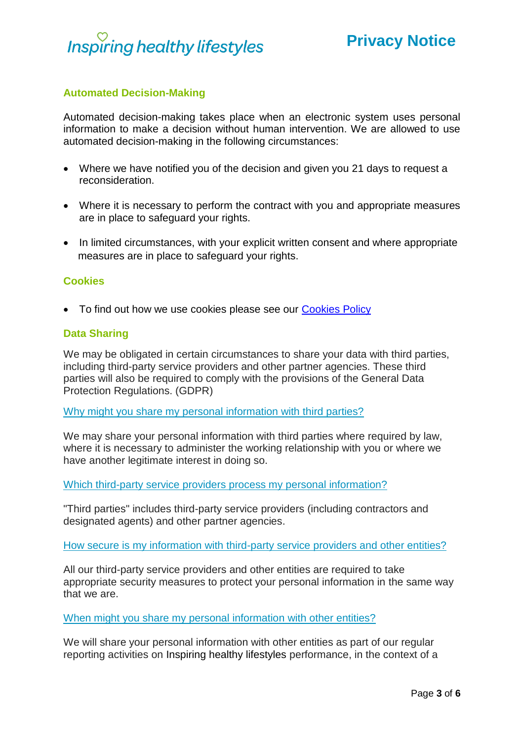

# **Automated Decision-Making**

Automated decision-making takes place when an electronic system uses personal information to make a decision without human intervention. We are allowed to use automated decision-making in the following circumstances:

- Where we have notified you of the decision and given you 21 days to request a reconsideration.
- Where it is necessary to perform the contract with you and appropriate measures are in place to safeguard your rights.
- In limited circumstances, with your explicit written consent and where appropriate measures are in place to safeguard your rights.

#### **Cookies**

• To find out how we use cookies please see our [Cookies Policy](http://www.inspiringhealthylifestyles.org/WLCT/about/Cookies.pdf)

#### **Data Sharing**

We may be obligated in certain circumstances to share your data with third parties, including third-party service providers and other partner agencies. These third parties will also be required to comply with the provisions of the General Data Protection Regulations. (GDPR)

Why might you share my personal information with third parties?

We may share your personal information with third parties where required by law, where it is necessary to administer the working relationship with you or where we have another legitimate interest in doing so.

Which third-party service providers process my personal information?

"Third parties" includes third-party service providers (including contractors and designated agents) and other partner agencies.

How secure is my information with third-party service providers and other entities?

All our third-party service providers and other entities are required to take appropriate security measures to protect your personal information in the same way that we are.

When might you share my personal information with other entities?

We will share your personal information with other entities as part of our regular reporting activities on Inspiring healthy lifestyles performance, in the context of a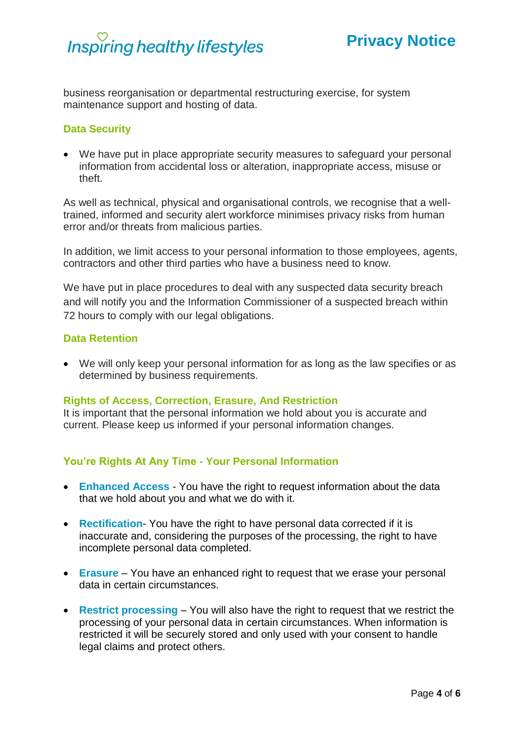

business reorganisation or departmental restructuring exercise, for system maintenance support and hosting of data.

#### **Data Security**

• We have put in place appropriate security measures to safeguard your personal information from accidental loss or alteration, inappropriate access, misuse or theft.

As well as technical, physical and organisational controls, we recognise that a welltrained, informed and security alert workforce minimises privacy risks from human error and/or threats from malicious parties.

In addition, we limit access to your personal information to those employees, agents, contractors and other third parties who have a business need to know.

We have put in place procedures to deal with any suspected data security breach and will notify you and the Information Commissioner of a suspected breach within 72 hours to comply with our legal obligations.

#### **Data Retention**

• We will only keep your personal information for as long as the law specifies or as determined by business requirements.

#### **Rights of Access, Correction, Erasure, And Restriction**

It is important that the personal information we hold about you is accurate and current. Please keep us informed if your personal information changes.

### **You're Rights At Any Time - Your Personal Information**

- **Enhanced Access** You have the right to request information about the data that we hold about you and what we do with it.
- **Rectification** You have the right to have personal data corrected if it is inaccurate and, considering the purposes of the processing, the right to have incomplete personal data completed.
- **Erasure** You have an enhanced right to request that we erase your personal data in certain circumstances.
- **Restrict processing** You will also have the right to request that we restrict the processing of your personal data in certain circumstances. When information is restricted it will be securely stored and only used with your consent to handle legal claims and protect others.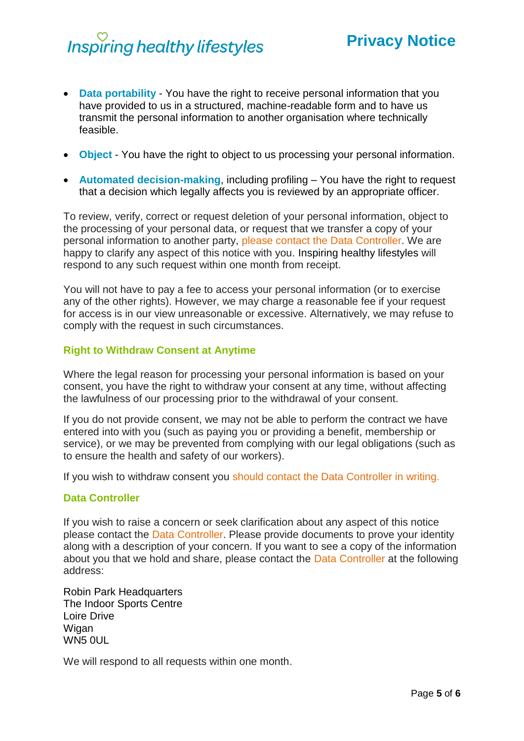# Inspiring healthy lifestyles

# **Privacy Notice**

- **Data portability** You have the right to receive personal information that you have provided to us in a structured, machine-readable form and to have us transmit the personal information to another organisation where technically feasible.
- **Object** You have the right to object to us processing your personal information.
- **Automated decision-making**, including profiling You have the right to request that a decision which legally affects you is reviewed by an appropriate officer.

To review, verify, correct or request deletion of your personal information, object to the processing of your personal data, or request that we transfer a copy of your personal information to another party, please contact the Data Controller. We are happy to clarify any aspect of this notice with you. Inspiring healthy lifestyles will respond to any such request within one month from receipt.

You will not have to pay a fee to access your personal information (or to exercise any of the other rights). However, we may charge a reasonable fee if your request for access is in our view unreasonable or excessive. Alternatively, we may refuse to comply with the request in such circumstances.

# **Right to Withdraw Consent at Anytime**

Where the legal reason for processing your personal information is based on your consent, you have the right to withdraw your consent at any time, without affecting the lawfulness of our processing prior to the withdrawal of your consent.

If you do not provide consent, we may not be able to perform the contract we have entered into with you (such as paying you or providing a benefit, membership or service), or we may be prevented from complying with our legal obligations (such as to ensure the health and safety of our workers).

If you wish to withdraw consent you should contact the Data Controller in writing.

#### **Data Controller**

If you wish to raise a concern or seek clarification about any aspect of this notice please contact the Data Controller. Please provide documents to prove your identity along with a description of your concern. If you want to see a copy of the information about you that we hold and share, please contact the Data Controller at the following address:

Robin Park Headquarters The Indoor Sports Centre Loire Drive Wigan WN5 0UL

We will respond to all requests within one month.